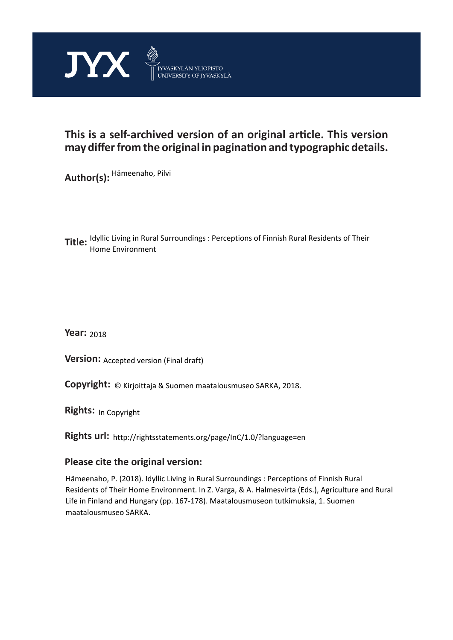

# **This is a self-archived version of an original article. This version may differ from the original in pagination and typographic details.**

**Author(s):**  Hämeenaho, Pilvi

**Title:**  Idyllic Living in Rural Surroundings : Perceptions of Finnish Rural Residents of Their Home Environment

**Year:**  2018

**Version: Accepted version (Final draft)** 

**Version:** Accepted version (Final draft)<br>**Copyright:** © Kirjoittaja & Suomen maatalousmuseo SARKA, 2018.

**Rights:** In Copyright

**Rights url:**  http://rightsstatements.org/page/InC/1.0/?language=en

# **Please cite the original version:**

Hämeenaho, P. (2018). Idyllic Living in Rural Surroundings : Perceptions of Finnish Rural Residents of Their Home Environment. In Z. Varga, & A. Halmesvirta (Eds.), Agriculture and Rural Life in Finland and Hungary (pp. 167-178). Maatalousmuseon tutkimuksia, 1. Suomen maatalousmuseo SARKA.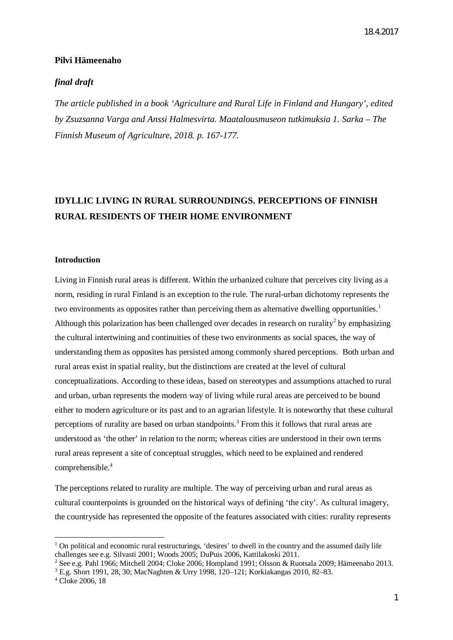## **Pilvi Hämeenaho**

# *final draft*

*The article published in a book 'Agriculture and Rural Life in Finland and Hungary', edited by Zsuzsanna Varga and Anssi Halmesvirta. Maatalousmuseon tutkimuksia 1. Sarka – The Finnish Museum of Agriculture, 2018. p. 167-177.*

# **IDYLLIC LIVING IN RURAL SURROUNDINGS. PERCEPTIONS OF FINNISH RURAL RESIDENTS OF THEIR HOME ENVIRONMENT**

#### **Introduction**

Living in Finnish rural areas is different. Within the urbanized culture that perceives city living as a norm, residing in rural Finland is an exception to the rule. The rural-urban dichotomy represents the two environments as opposites rather than perceiving them as alternative dwelling opportunities.<sup>[1](#page-1-0)</sup> Although this polarization has been challenged over decades in research on rurality<sup>[2](#page-1-1)</sup> by emphasizing the cultural intertwining and continuities of these two environments as social spaces, the way of understanding them as opposites has persisted among commonly shared perceptions. Both urban and rural areas exist in spatial reality, but the distinctions are created at the level of cultural conceptualizations. According to these ideas, based on stereotypes and assumptions attached to rural and urban, urban represents the modern way of living while rural areas are perceived to be bound either to modern agriculture or its past and to an agrarian lifestyle. It is noteworthy that these cultural perceptions of rurality are based on urban standpoints.<sup>[3](#page-1-2)</sup> From this it follows that rural areas are understood as 'the other' in relation to the norm; whereas cities are understood in their own terms rural areas represent a site of conceptual struggles, which need to be explained and rendered comprehensible.[4](#page-1-3)

The perceptions related to rurality are multiple. The way of perceiving urban and rural areas as cultural counterpoints is grounded on the historical ways of defining 'the city'. As cultural imagery, the countryside has represented the opposite of the features associated with cities: rurality represents

<span id="page-1-0"></span><sup>&</sup>lt;sup>1</sup> On political and economic rural restructurings, 'desires' to dwell in the country and the assumed daily life challenges see e.g. Silvasti 2001; Woods 2005; DuPuis 2006, Kattilakoski 2011.

<span id="page-1-2"></span><span id="page-1-1"></span><sup>2</sup> See e.g. Pahl 1966; Mitchell 2004; Cloke 2006; Hompland 1991; Olsson & Ruotsala 2009; Hämeenaho 2013. 3 E.g. Short 1991, 28, 30; MacNaghten & Urry 1998, 120–121; Korkiakangas 2010, 82–83.

<span id="page-1-3"></span><sup>4</sup> Cloke 2006, 18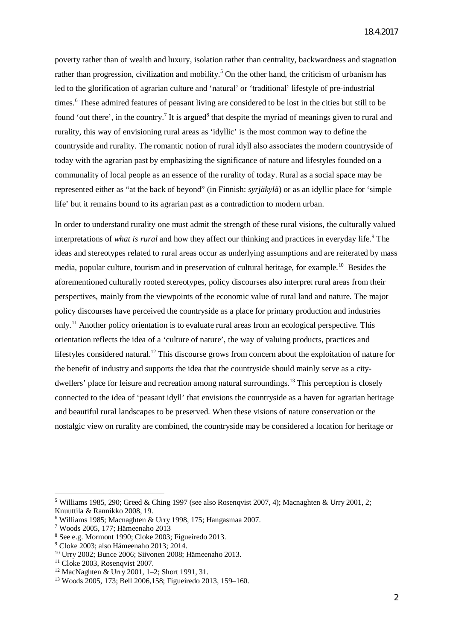poverty rather than of wealth and luxury, isolation rather than centrality, backwardness and stagnation rather than progression, civilization and mobility.<sup>[5](#page-2-0)</sup> On the other hand, the criticism of urbanism has led to the glorification of agrarian culture and 'natural' or 'traditional' lifestyle of pre-industrial times.<sup>[6](#page-2-1)</sup> These admired features of peasant living are considered to be lost in the cities but still to be found 'out there', in the country.<sup>[7](#page-2-2)</sup> It is argued<sup>[8](#page-2-3)</sup> that despite the myriad of meanings given to rural and rurality, this way of envisioning rural areas as 'idyllic' is the most common way to define the countryside and rurality. The romantic notion of rural idyll also associates the modern countryside of today with the agrarian past by emphasizing the significance of nature and lifestyles founded on a communality of local people as an essence of the rurality of today. Rural as a social space may be represented either as "at the back of beyond" (in Finnish: *syrjäkylä*) or as an idyllic place for 'simple life' but it remains bound to its agrarian past as a contradiction to modern urban.

In order to understand rurality one must admit the strength of these rural visions, the culturally valued interpretations of *what is rural* and how they affect our thinking and practices in everyday life.<sup>[9](#page-2-4)</sup> The ideas and stereotypes related to rural areas occur as underlying assumptions and are reiterated by mass media, popular culture, tourism and in preservation of cultural heritage, for example.<sup>[10](#page-2-5)</sup> Besides the aforementioned culturally rooted stereotypes, policy discourses also interpret rural areas from their perspectives, mainly from the viewpoints of the economic value of rural land and nature. The major policy discourses have perceived the countryside as a place for primary production and industries only.[11](#page-2-6) Another policy orientation is to evaluate rural areas from an ecological perspective. This orientation reflects the idea of a 'culture of nature', the way of valuing products, practices and lifestyles considered natural.<sup>[12](#page-2-7)</sup> This discourse grows from concern about the exploitation of nature for the benefit of industry and supports the idea that the countryside should mainly serve as a city-dwellers' place for leisure and recreation among natural surroundings.<sup>[13](#page-2-8)</sup> This perception is closely connected to the idea of 'peasant idyll' that envisions the countryside as a haven for agrarian heritage and beautiful rural landscapes to be preserved. When these visions of nature conservation or the nostalgic view on rurality are combined, the countryside may be considered a location for heritage or

<span id="page-2-0"></span><sup>&</sup>lt;sup>5</sup> Williams 1985, 290; Greed & Ching 1997 (see also Rosenqvist 2007, 4); Macnaghten & Urry 2001, 2; Knuuttila & Rannikko 2008, 19.

<span id="page-2-1"></span><sup>6</sup> Williams 1985; Macnaghten & Urry 1998, 175; Hangasmaa 2007.

<span id="page-2-2"></span><sup>7</sup> Woods 2005, 177; Hämeenaho 2013

<span id="page-2-3"></span><sup>8</sup> See e.g. Mormont 1990; Cloke 2003; Figueiredo 2013.

<span id="page-2-4"></span><sup>9</sup> Cloke 2003; also Hämeenaho 2013; 2014.

<span id="page-2-5"></span><sup>10</sup> Urry 2002; Bunce 2006; Siivonen 2008; Hämeenaho 2013.

<span id="page-2-6"></span> $11$  Cloke 2003, Rosenqvist 2007.

<span id="page-2-7"></span><sup>12</sup> MacNaghten & Urry 2001, 1–2; Short 1991, 31.

<span id="page-2-8"></span><sup>13</sup> Woods 2005, 173; Bell 2006,158; Figueiredo 2013, 159–160.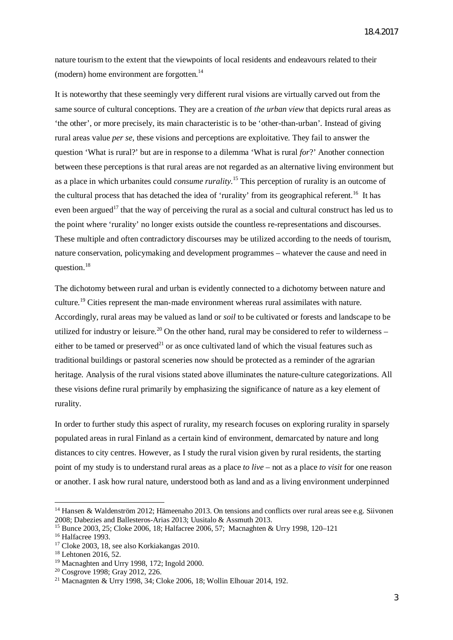nature tourism to the extent that the viewpoints of local residents and endeavours related to their (modern) home environment are forgotten. $^{14}$  $^{14}$  $^{14}$ 

It is noteworthy that these seemingly very different rural visions are virtually carved out from the same source of cultural conceptions. They are a creation of *the urban view* that depicts rural areas as 'the other', or more precisely, its main characteristic is to be 'other-than-urban'. Instead of giving rural areas value *per se*, these visions and perceptions are exploitative. They fail to answer the question 'What is rural?' but are in response to a dilemma 'What is rural *for*?' Another connection between these perceptions is that rural areas are not regarded as an alternative living environment but as a place in which urbanites could *consume rurality.*[15](#page-3-1) This perception of rurality is an outcome of the cultural process that has detached the idea of 'rurality' from its geographical referent.<sup>[16](#page-3-2)</sup> It has even been argued<sup>[17](#page-3-3)</sup> that the way of perceiving the rural as a social and cultural construct has led us to the point where 'rurality' no longer exists outside the countless re-representations and discourses. These multiple and often contradictory discourses may be utilized according to the needs of tourism, nature conservation, policymaking and development programmes – whatever the cause and need in question.<sup>[18](#page-3-4)</sup>

The dichotomy between rural and urban is evidently connected to a dichotomy between nature and culture.<sup>[19](#page-3-5)</sup> Cities represent the man-made environment whereas rural assimilates with nature. Accordingly, rural areas may be valued as land or *soil* to be cultivated or forests and landscape to be utilized for industry or leisure.<sup>[20](#page-3-6)</sup> On the other hand, rural may be considered to refer to wilderness – either to be tamed or preserved<sup>[21](#page-3-7)</sup> or as once cultivated land of which the visual features such as traditional buildings or pastoral sceneries now should be protected as a reminder of the agrarian heritage. Analysis of the rural visions stated above illuminates the nature-culture categorizations. All these visions define rural primarily by emphasizing the significance of nature as a key element of rurality.

In order to further study this aspect of rurality, my research focuses on exploring rurality in sparsely populated areas in rural Finland as a certain kind of environment, demarcated by nature and long distances to city centres. However, as I study the rural vision given by rural residents, the starting point of my study is to understand rural areas as a place *to live* – not as a place *to visit* for one reason or another. I ask how rural nature, understood both as land and as a living environment underpinned

<span id="page-3-0"></span><sup>&</sup>lt;sup>14</sup> Hansen & Waldenström 2012; Hämeenaho 2013. On tensions and conflicts over rural areas see e.g. Siivonen 2008; Dabezies and Ballesteros-Arias 2013; Uusitalo & Assmuth 2013.

<span id="page-3-1"></span><sup>15</sup> Bunce 2003, 25; Cloke 2006, 18; Halfacree 2006, 57; Macnaghten & Urry 1998, 120–121

<span id="page-3-2"></span><sup>&</sup>lt;sup>16</sup> Halfacree 1993.

<span id="page-3-3"></span><sup>&</sup>lt;sup>17</sup> Cloke 2003, 18, see also Korkiakangas 2010.

<span id="page-3-4"></span><sup>18</sup> Lehtonen 2016, 52.

<span id="page-3-5"></span><sup>19</sup> Macnaghten and Urry 1998, 172; Ingold 2000.

<span id="page-3-6"></span><sup>20</sup> Cosgrove 1998; Gray 2012, 226.

<span id="page-3-7"></span><sup>21</sup> Macnagnten & Urry 1998, 34; Cloke 2006, 18; Wollin Elhouar 2014, 192.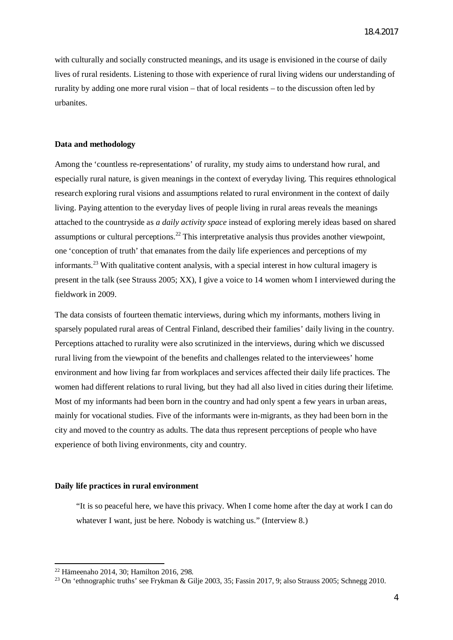with culturally and socially constructed meanings, and its usage is envisioned in the course of daily lives of rural residents. Listening to those with experience of rural living widens our understanding of rurality by adding one more rural vision – that of local residents – to the discussion often led by urbanites.

#### **Data and methodology**

Among the 'countless re-representations' of rurality, my study aims to understand how rural, and especially rural nature, is given meanings in the context of everyday living. This requires ethnological research exploring rural visions and assumptions related to rural environment in the context of daily living. Paying attention to the everyday lives of people living in rural areas reveals the meanings attached to the countryside as *a daily activity space* instead of exploring merely ideas based on shared assumptions or cultural perceptions.[22](#page-4-0) This interpretative analysis thus provides another viewpoint, one 'conception of truth' that emanates from the daily life experiences and perceptions of my informants.<sup>[23](#page-4-1)</sup> With qualitative content analysis, with a special interest in how cultural imagery is present in the talk (see Strauss 2005; XX), I give a voice to 14 women whom I interviewed during the fieldwork in 2009.

The data consists of fourteen thematic interviews, during which my informants, mothers living in sparsely populated rural areas of Central Finland, described their families' daily living in the country. Perceptions attached to rurality were also scrutinized in the interviews, during which we discussed rural living from the viewpoint of the benefits and challenges related to the interviewees' home environment and how living far from workplaces and services affected their daily life practices. The women had different relations to rural living, but they had all also lived in cities during their lifetime. Most of my informants had been born in the country and had only spent a few years in urban areas, mainly for vocational studies. Five of the informants were in-migrants, as they had been born in the city and moved to the country as adults. The data thus represent perceptions of people who have experience of both living environments, city and country.

### **Daily life practices in rural environment**

"It is so peaceful here, we have this privacy. When I come home after the day at work I can do whatever I want, just be here. Nobody is watching us." (Interview 8.)

<span id="page-4-0"></span><sup>22</sup> Hämeenaho 2014, 30; Hamilton 2016, 298.

<span id="page-4-1"></span><sup>&</sup>lt;sup>23</sup> On 'ethnographic truths' see Frykman & Gilje 2003, 35; Fassin 2017, 9; also Strauss 2005; Schnegg 2010.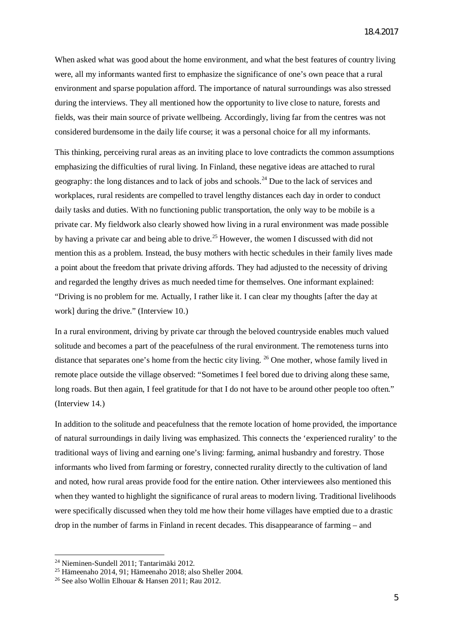When asked what was good about the home environment, and what the best features of country living were, all my informants wanted first to emphasize the significance of one's own peace that a rural environment and sparse population afford. The importance of natural surroundings was also stressed during the interviews. They all mentioned how the opportunity to live close to nature, forests and fields, was their main source of private wellbeing. Accordingly, living far from the centres was not considered burdensome in the daily life course; it was a personal choice for all my informants.

This thinking, perceiving rural areas as an inviting place to love contradicts the common assumptions emphasizing the difficulties of rural living. In Finland, these negative ideas are attached to rural geography: the long distances and to lack of jobs and schools.<sup>[24](#page-5-0)</sup> Due to the lack of services and workplaces, rural residents are compelled to travel lengthy distances each day in order to conduct daily tasks and duties. With no functioning public transportation, the only way to be mobile is a private car. My fieldwork also clearly showed how living in a rural environment was made possible by having a private car and being able to drive.<sup>[25](#page-5-1)</sup> However, the women I discussed with did not mention this as a problem. Instead, the busy mothers with hectic schedules in their family lives made a point about the freedom that private driving affords. They had adjusted to the necessity of driving and regarded the lengthy drives as much needed time for themselves. One informant explained: "Driving is no problem for me. Actually, I rather like it. I can clear my thoughts [after the day at work] during the drive." (Interview 10.)

In a rural environment, driving by private car through the beloved countryside enables much valued solitude and becomes a part of the peacefulness of the rural environment. The remoteness turns into distance that separates one's home from the hectic city living. <sup>[26](#page-5-2)</sup> One mother, whose family lived in remote place outside the village observed: "Sometimes I feel bored due to driving along these same, long roads. But then again, I feel gratitude for that I do not have to be around other people too often." (Interview 14.)

In addition to the solitude and peacefulness that the remote location of home provided, the importance of natural surroundings in daily living was emphasized. This connects the 'experienced rurality' to the traditional ways of living and earning one's living: farming, animal husbandry and forestry. Those informants who lived from farming or forestry, connected rurality directly to the cultivation of land and noted, how rural areas provide food for the entire nation. Other interviewees also mentioned this when they wanted to highlight the significance of rural areas to modern living. Traditional livelihoods were specifically discussed when they told me how their home villages have emptied due to a drastic drop in the number of farms in Finland in recent decades. This disappearance of farming – and

<span id="page-5-0"></span><sup>24</sup> Nieminen-Sundell 2011; Tantarimäki 2012.

<span id="page-5-1"></span><sup>25</sup> Hämeenaho 2014, 91; Hämeenaho 2018; also Sheller 2004.

<span id="page-5-2"></span><sup>26</sup> See also Wollin Elhouar & Hansen 2011; Rau 2012.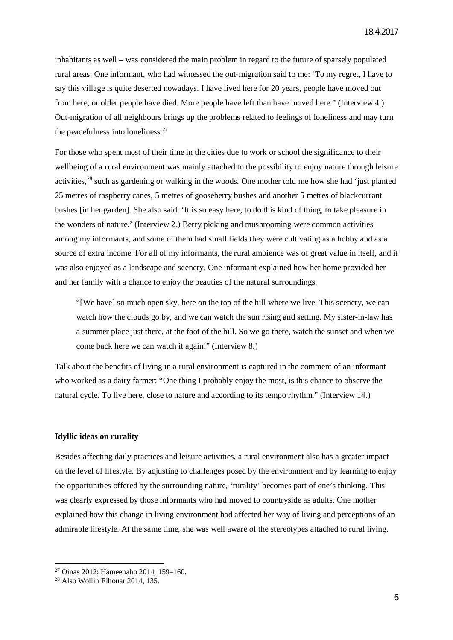inhabitants as well – was considered the main problem in regard to the future of sparsely populated rural areas. One informant, who had witnessed the out-migration said to me: 'To my regret, I have to say this village is quite deserted nowadays. I have lived here for 20 years, people have moved out from here, or older people have died. More people have left than have moved here." (Interview 4.) Out-migration of all neighbours brings up the problems related to feelings of loneliness and may turn the peacefulness into loneliness. $27$ 

For those who spent most of their time in the cities due to work or school the significance to their wellbeing of a rural environment was mainly attached to the possibility to enjoy nature through leisure activities,<sup>[28](#page-6-1)</sup> such as gardening or walking in the woods. One mother told me how she had 'just planted 25 metres of raspberry canes, 5 metres of gooseberry bushes and another 5 metres of blackcurrant bushes [in her garden]. She also said: 'It is so easy here, to do this kind of thing, to take pleasure in the wonders of nature.' (Interview 2.) Berry picking and mushrooming were common activities among my informants, and some of them had small fields they were cultivating as a hobby and as a source of extra income. For all of my informants, the rural ambience was of great value in itself, and it was also enjoyed as a landscape and scenery. One informant explained how her home provided her and her family with a chance to enjoy the beauties of the natural surroundings.

"[We have] so much open sky, here on the top of the hill where we live. This scenery, we can watch how the clouds go by, and we can watch the sun rising and setting. My sister-in-law has a summer place just there, at the foot of the hill. So we go there, watch the sunset and when we come back here we can watch it again!" (Interview 8.)

Talk about the benefits of living in a rural environment is captured in the comment of an informant who worked as a dairy farmer: "One thing I probably enjoy the most, is this chance to observe the natural cycle. To live here, close to nature and according to its tempo rhythm." (Interview 14.)

### **Idyllic ideas on rurality**

Besides affecting daily practices and leisure activities, a rural environment also has a greater impact on the level of lifestyle. By adjusting to challenges posed by the environment and by learning to enjoy the opportunities offered by the surrounding nature, 'rurality' becomes part of one's thinking. This was clearly expressed by those informants who had moved to countryside as adults. One mother explained how this change in living environment had affected her way of living and perceptions of an admirable lifestyle. At the same time, she was well aware of the stereotypes attached to rural living.

<span id="page-6-0"></span><sup>27</sup> Oinas 2012; Hämeenaho 2014, 159–160.

<span id="page-6-1"></span><sup>28</sup> Also Wollin Elhouar 2014, 135.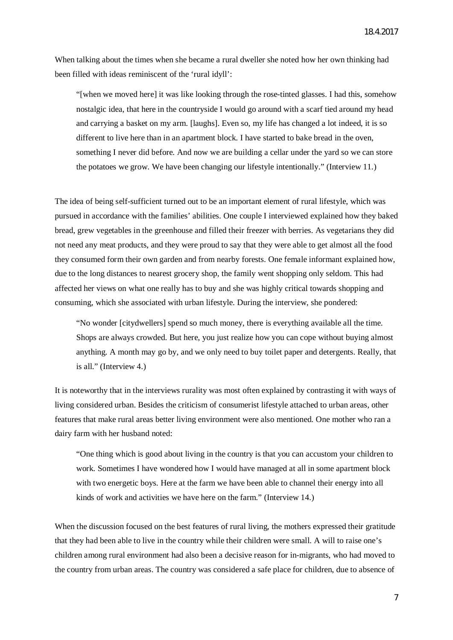When talking about the times when she became a rural dweller she noted how her own thinking had been filled with ideas reminiscent of the 'rural idyll':

"[when we moved here] it was like looking through the rose-tinted glasses. I had this, somehow nostalgic idea, that here in the countryside I would go around with a scarf tied around my head and carrying a basket on my arm. [laughs]. Even so, my life has changed a lot indeed, it is so different to live here than in an apartment block. I have started to bake bread in the oven, something I never did before. And now we are building a cellar under the yard so we can store the potatoes we grow. We have been changing our lifestyle intentionally." (Interview 11.)

The idea of being self-sufficient turned out to be an important element of rural lifestyle, which was pursued in accordance with the families' abilities. One couple I interviewed explained how they baked bread, grew vegetables in the greenhouse and filled their freezer with berries. As vegetarians they did not need any meat products, and they were proud to say that they were able to get almost all the food they consumed form their own garden and from nearby forests. One female informant explained how, due to the long distances to nearest grocery shop, the family went shopping only seldom. This had affected her views on what one really has to buy and she was highly critical towards shopping and consuming, which she associated with urban lifestyle. During the interview, she pondered:

"No wonder [citydwellers] spend so much money, there is everything available all the time. Shops are always crowded. But here, you just realize how you can cope without buying almost anything. A month may go by, and we only need to buy toilet paper and detergents. Really, that is all." (Interview 4.)

It is noteworthy that in the interviews rurality was most often explained by contrasting it with ways of living considered urban. Besides the criticism of consumerist lifestyle attached to urban areas, other features that make rural areas better living environment were also mentioned. One mother who ran a dairy farm with her husband noted:

"One thing which is good about living in the country is that you can accustom your children to work. Sometimes I have wondered how I would have managed at all in some apartment block with two energetic boys. Here at the farm we have been able to channel their energy into all kinds of work and activities we have here on the farm." (Interview 14.)

When the discussion focused on the best features of rural living, the mothers expressed their gratitude that they had been able to live in the country while their children were small. A will to raise one's children among rural environment had also been a decisive reason for in-migrants, who had moved to the country from urban areas. The country was considered a safe place for children, due to absence of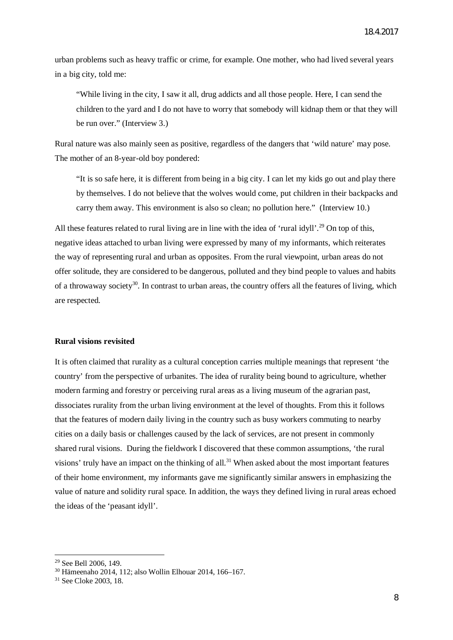urban problems such as heavy traffic or crime, for example. One mother, who had lived several years in a big city, told me:

"While living in the city, I saw it all, drug addicts and all those people. Here, I can send the children to the yard and I do not have to worry that somebody will kidnap them or that they will be run over." (Interview 3.)

Rural nature was also mainly seen as positive, regardless of the dangers that 'wild nature' may pose. The mother of an 8-year-old boy pondered:

"It is so safe here, it is different from being in a big city. I can let my kids go out and play there by themselves. I do not believe that the wolves would come, put children in their backpacks and carry them away. This environment is also so clean; no pollution here." (Interview 10.)

All these features related to rural living are in line with the idea of 'rural idvll'.<sup>[29](#page-8-0)</sup> On top of this. negative ideas attached to urban living were expressed by many of my informants, which reiterates the way of representing rural and urban as opposites. From the rural viewpoint, urban areas do not offer solitude, they are considered to be dangerous, polluted and they bind people to values and habits of a throwaway society<sup>[30](#page-8-1)</sup>. In contrast to urban areas, the country offers all the features of living, which are respected.

#### **Rural visions revisited**

It is often claimed that rurality as a cultural conception carries multiple meanings that represent 'the country' from the perspective of urbanites. The idea of rurality being bound to agriculture, whether modern farming and forestry or perceiving rural areas as a living museum of the agrarian past, dissociates rurality from the urban living environment at the level of thoughts. From this it follows that the features of modern daily living in the country such as busy workers commuting to nearby cities on a daily basis or challenges caused by the lack of services, are not present in commonly shared rural visions. During the fieldwork I discovered that these common assumptions, 'the rural visions' truly have an impact on the thinking of all.<sup>[31](#page-8-2)</sup> When asked about the most important features of their home environment, my informants gave me significantly similar answers in emphasizing the value of nature and solidity rural space. In addition, the ways they defined living in rural areas echoed the ideas of the 'peasant idyll'.

<span id="page-8-0"></span><sup>29</sup> See Bell 2006, 149.

<span id="page-8-1"></span><sup>30</sup> Hämeenaho 2014, 112; also Wollin Elhouar 2014, 166–167.

<span id="page-8-2"></span><sup>31</sup> See Cloke 2003, 18.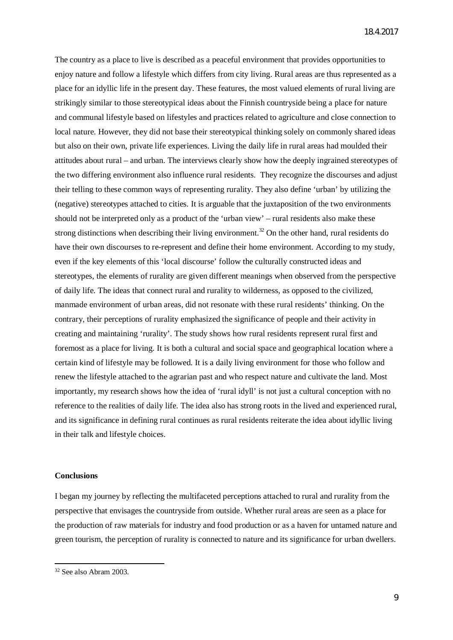The country as a place to live is described as a peaceful environment that provides opportunities to enjoy nature and follow a lifestyle which differs from city living. Rural areas are thus represented as a place for an idyllic life in the present day. These features, the most valued elements of rural living are strikingly similar to those stereotypical ideas about the Finnish countryside being a place for nature and communal lifestyle based on lifestyles and practices related to agriculture and close connection to local nature. However, they did not base their stereotypical thinking solely on commonly shared ideas but also on their own, private life experiences. Living the daily life in rural areas had moulded their attitudes about rural – and urban. The interviews clearly show how the deeply ingrained stereotypes of the two differing environment also influence rural residents. They recognize the discourses and adjust their telling to these common ways of representing rurality. They also define 'urban' by utilizing the (negative) stereotypes attached to cities. It is arguable that the juxtaposition of the two environments should not be interpreted only as a product of the 'urban view' – rural residents also make these strong distinctions when describing their living environment.<sup>[32](#page-9-0)</sup> On the other hand, rural residents do have their own discourses to re-represent and define their home environment. According to my study, even if the key elements of this 'local discourse' follow the culturally constructed ideas and stereotypes, the elements of rurality are given different meanings when observed from the perspective of daily life. The ideas that connect rural and rurality to wilderness, as opposed to the civilized, manmade environment of urban areas, did not resonate with these rural residents' thinking. On the contrary, their perceptions of rurality emphasized the significance of people and their activity in creating and maintaining 'rurality'. The study shows how rural residents represent rural first and foremost as a place for living. It is both a cultural and social space and geographical location where a certain kind of lifestyle may be followed. It is a daily living environment for those who follow and renew the lifestyle attached to the agrarian past and who respect nature and cultivate the land. Most importantly, my research shows how the idea of 'rural idyll' is not just a cultural conception with no reference to the realities of daily life. The idea also has strong roots in the lived and experienced rural, and its significance in defining rural continues as rural residents reiterate the idea about idyllic living in their talk and lifestyle choices.

### **Conclusions**

I began my journey by reflecting the multifaceted perceptions attached to rural and rurality from the perspective that envisages the countryside from outside. Whether rural areas are seen as a place for the production of raw materials for industry and food production or as a haven for untamed nature and green tourism, the perception of rurality is connected to nature and its significance for urban dwellers.

<span id="page-9-0"></span><sup>32</sup> See also Abram 2003.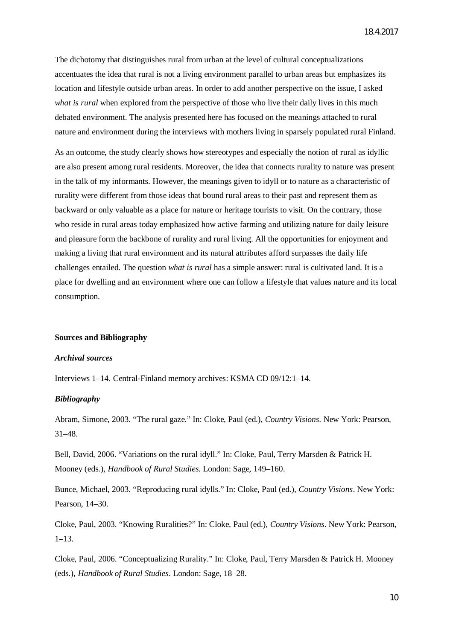The dichotomy that distinguishes rural from urban at the level of cultural conceptualizations accentuates the idea that rural is not a living environment parallel to urban areas but emphasizes its location and lifestyle outside urban areas. In order to add another perspective on the issue, I asked *what is rural* when explored from the perspective of those who live their daily lives in this much debated environment. The analysis presented here has focused on the meanings attached to rural nature and environment during the interviews with mothers living in sparsely populated rural Finland.

As an outcome, the study clearly shows how stereotypes and especially the notion of rural as idyllic are also present among rural residents. Moreover, the idea that connects rurality to nature was present in the talk of my informants. However, the meanings given to idyll or to nature as a characteristic of rurality were different from those ideas that bound rural areas to their past and represent them as backward or only valuable as a place for nature or heritage tourists to visit. On the contrary, those who reside in rural areas today emphasized how active farming and utilizing nature for daily leisure and pleasure form the backbone of rurality and rural living. All the opportunities for enjoyment and making a living that rural environment and its natural attributes afford surpasses the daily life challenges entailed. The question *what is rural* has a simple answer: rural is cultivated land. It is a place for dwelling and an environment where one can follow a lifestyle that values nature and its local consumption.

# **Sources and Bibliography**

#### *Archival sources*

Interviews 1–14. Central-Finland memory archives: KSMA CD 09/12:1–14.

#### *Bibliography*

Abram, Simone, 2003. "The rural gaze." In: Cloke, Paul (ed.), *Country Visions*. New York: Pearson, 31–48.

Bell, David, 2006. "Variations on the rural idyll." In: Cloke, Paul, Terry Marsden & Patrick H. Mooney (eds.), *Handbook of Rural Studies*. London: Sage, 149–160.

Bunce, Michael, 2003. "Reproducing rural idylls." In: Cloke, Paul (ed.), *Country Visions*. New York: Pearson, 14–30.

Cloke, Paul, 2003. "Knowing Ruralities?" In: Cloke, Paul (ed.), *Country Visions*. New York: Pearson,  $1-13.$ 

Cloke, Paul, 2006. "Conceptualizing Rurality." In: Cloke, Paul, Terry Marsden & Patrick H. Mooney (eds.), *Handbook of Rural Studies*. London: Sage, 18–28.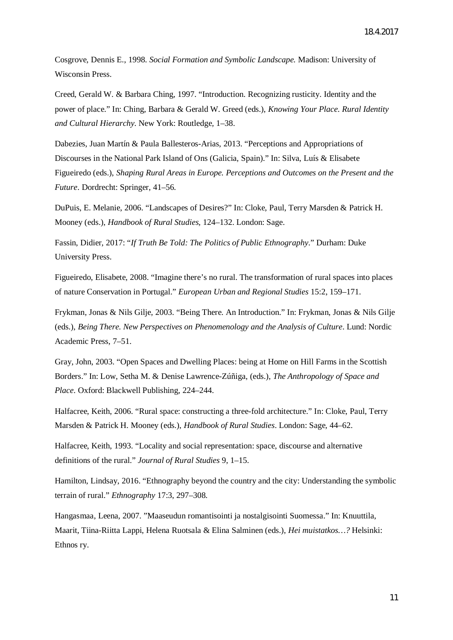Cosgrove, Dennis E., 1998. *Social Formation and Symbolic Landscape.* Madison: University of Wisconsin Press.

Creed, Gerald W. & Barbara Ching, 1997. "Introduction. Recognizing rusticity. Identity and the power of place." In: Ching, Barbara & Gerald W. Greed (eds.), *Knowing Your Place. Rural Identity and Cultural Hierarchy*. New York: Routledge*,* 1–38.

Dabezies, Juan Martín & Paula Ballesteros-Arias, 2013. "Perceptions and Appropriations of Discourses in the National Park Island of Ons (Galicia, Spain)." In: Silva, Luís & Elisabete Figueiredo (eds.), *Shaping Rural Areas in Europe. Perceptions and Outcomes on the Present and the Future*. Dordrecht: Springer, 41–56.

DuPuis, E. Melanie, 2006. "Landscapes of Desires?" In: Cloke, Paul, Terry Marsden & Patrick H. Mooney (eds.), *Handbook of Rural Studies,* 124–132. London: Sage.

Fassin, Didier, 2017: "*If Truth Be Told: The Politics of Public Ethnography*." Durham: Duke University Press.

Figueiredo, Elisabete, 2008. "Imagine there's no rural. The transformation of rural spaces into places of nature Conservation in Portugal." *European Urban and Regional Studies* 15:2, 159–171.

Frykman, Jonas & Nils Gilje, 2003. "Being There. An Introduction." In: Frykman, Jonas & Nils Gilje (eds.), *Being There. New Perspectives on Phenomenology and the Analysis of Culture*. Lund: Nordic Academic Press, 7–51.

Gray, John, 2003. "Open Spaces and Dwelling Places: being at Home on Hill Farms in the Scottish Borders." In: Low, Setha M. & Denise Lawrence-Zúñiga, (eds.), *The Anthropology of Space and Place*. Oxford: Blackwell Publishing, 224–244.

Halfacree, Keith, 2006. "Rural space: constructing a three-fold architecture." In: Cloke, Paul, Terry Marsden & Patrick H. Mooney (eds.), *Handbook of Rural Studies*. London: Sage*,* 44–62.

Halfacree, Keith, 1993. "Locality and social representation: space, discourse and alternative definitions of the rural." *Journal of Rural Studies* 9, 1–15.

Hamilton, Lindsay, 2016. "Ethnography beyond the country and the city: Understanding the symbolic terrain of rural." *Ethnography* 17:3, 297–308.

Hangasmaa, Leena, 2007. "Maaseudun romantisointi ja nostalgisointi Suomessa." In: Knuuttila, Maarit, Tiina-Riitta Lappi, Helena Ruotsala & Elina Salminen (eds.), *Hei muistatkos…?* Helsinki: Ethnos ry.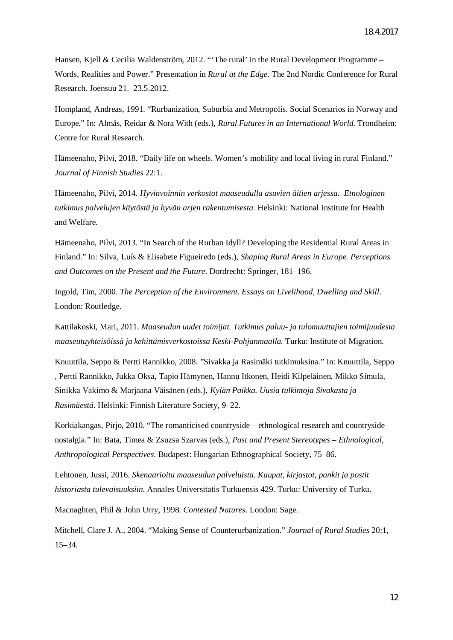Hansen, Kjell & Cecilia Waldenström, 2012. "'The rural' in the Rural Development Programme – Words, Realities and Power." Presentation in *Rural at the Edge*. The 2nd Nordic Conference for Rural Research. Joensuu 21.–23.5.2012.

Hompland, Andreas, 1991. "Rurbanization, Suburbia and Metropolis. Social Scenarios in Norway and Europe." In: Almås, Reidar & Nora With (eds.), *Rural Futures in an International World.* Trondheim: Centre for Rural Research.

Hämeenaho, Pilvi, 2018. "Daily life on wheels. Women's mobility and local living in rural Finland." *Journal of Finnish Studies* 22:1.

Hämeenaho, Pilvi, 2014. *Hyvinvoinnin verkostot maaseudulla asuvien äitien arjessa. Etnologinen tutkimus palvelujen käytöstä ja hyvän arjen rakentumisesta.* Helsinki: National Institute for Health and Welfare.

Hämeenaho, Pilvi, 2013. "In Search of the Rurban Idyll? Developing the Residential Rural Areas in Finland." In: Silva, Luís & Elisabete Figueiredo (eds.), *Shaping Rural Areas in Europe. Perceptions and Outcomes on the Present and the Future*. Dordrecht: Springer*,* 181–196.

Ingold, Tim, 2000. *The Perception of the Environment. Essays on Livelihood, Dwelling and Skill*. London: Routledge.

Kattilakoski, Mari, 2011. *Maaseudun uudet toimijat. Tutkimus paluu- ja tulomuuttajien toimijuudesta maaseutuyhteisöissä ja kehittämisverkostoissa Keski-Pohjanmaalla.* Turku: Institute of Migration.

Knuuttila, Seppo & Pertti Rannikko, 2008. "Sivakka ja Rasimäki tutkimuksina." In: Knuuttila, Seppo , Pertti Rannikko, Jukka Oksa, Tapio Hämynen, Hannu Itkonen, Heidi Kilpeläinen, Mikko Simula, Sinikka Vakimo & Marjaana Väisänen (eds.), *Kylän Paikka. Uusia tulkintoja Sivakasta ja Rasimäestä*. Helsinki: Finnish Literature Society, 9–22.

Korkiakangas, Pirjo, 2010. "The romanticised countryside – ethnological research and countryside nostalgia." In: Bata, Timea & Zsuzsa Szarvas (eds.), *Past and Present Stereotypes – Ethnological, Anthropological Perspectives*. Budapest: Hungarian Ethnographical Society*,* 75–86.

Lehtonen, Jussi, 2016. *Skenaarioita maaseudun palveluista. Kaupat, kirjastot, pankit ja postit historiasta tulevaisuuksiin.* Annales Universitatis Turkuensis 429. Turku: University of Turku.

Macnaghten, Phil & John Urry, 1998. *Contested Natures*. London: Sage.

Mitchell, Clare J. A., 2004. "Making Sense of Counterurbanization." *Journal of Rural Studies* 20:1, 15–34.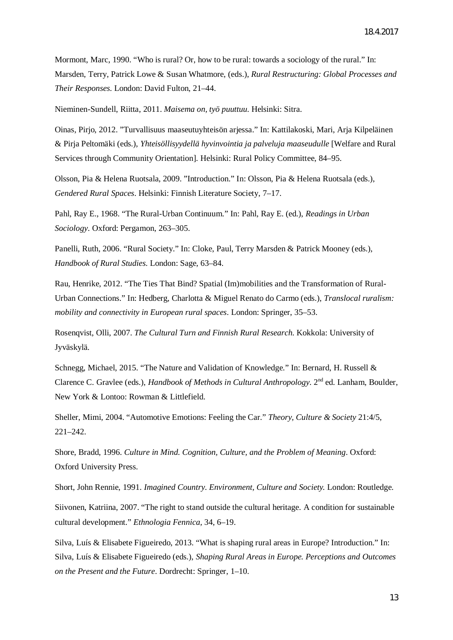Mormont, Marc, 1990. "Who is rural? Or, how to be rural: towards a sociology of the rural." In: Marsden, Terry, Patrick Lowe & Susan Whatmore, (eds.), *Rural Restructuring: Global Processes and Their Responses*. London: David Fulton, 21–44.

Nieminen-Sundell, Riitta, 2011. *Maisema on, työ puuttuu*. Helsinki: Sitra.

Oinas, Pirjo, 2012. "Turvallisuus maaseutuyhteisön arjessa." In: Kattilakoski, Mari, Arja Kilpeläinen & Pirja Peltomäki (eds.), *Yhteisöllisyydellä hyvinvointia ja palveluja maaseudulle* [Welfare and Rural Services through Community Orientation]. Helsinki: Rural Policy Committee, 84–95.

Olsson, Pia & Helena Ruotsala, 2009. "Introduction." In: Olsson, Pia & Helena Ruotsala (eds.), *Gendered Rural Spaces*. Helsinki: Finnish Literature Society, 7–17.

Pahl, Ray E., 1968. "The Rural-Urban Continuum." In: Pahl, Ray E. (ed.), *Readings in Urban Sociology*. Oxford: Pergamon, 263–305.

Panelli, Ruth, 2006. "Rural Society." In: Cloke, Paul, Terry Marsden & Patrick Mooney (eds.), *Handbook of Rural Studies*. London: Sage*,* 63–84.

Rau, Henrike, 2012. "The Ties That Bind? Spatial (Im)mobilities and the Transformation of Rural-Urban Connections." In: Hedberg, Charlotta & Miguel Renato do Carmo (eds.), *Translocal ruralism: mobility and connectivity in European rural spaces*. London: Springer, 35–53.

Rosenqvist, Olli, 2007. *The Cultural Turn and Finnish Rural Research.* Kokkola: University of Jyväskylä.

Schnegg, Michael, 2015. "The Nature and Validation of Knowledge." In: Bernard, H. Russell & Clarence C. Gravlee (eds.), *Handbook of Methods in Cultural Anthropology*. 2<sup>nd</sup> ed. Lanham, Boulder. New York & Lontoo: Rowman & Littlefield.

Sheller, Mimi, 2004. "Automotive Emotions: Feeling the Car." *Theory, Culture & Society* 21:4/5, 221–242.

Shore, Bradd, 1996. *Culture in Mind. Cognition, Culture, and the Problem of Meaning*. Oxford: Oxford University Press.

Short, John Rennie, 1991. *Imagined Country. Environment, Culture and Society.* London: Routledge.

Siivonen, Katriina, 2007. "The right to stand outside the cultural heritage. A condition for sustainable cultural development." *Ethnologia Fennica,* 34, 6–19.

Silva, Luís & Elisabete Figueiredo, 2013. "What is shaping rural areas in Europe? Introduction." In: Silva, Luís & Elisabete Figueiredo (eds.), *Shaping Rural Areas in Europe. Perceptions and Outcomes on the Present and the Future*. Dordrecht: Springer, 1–10.